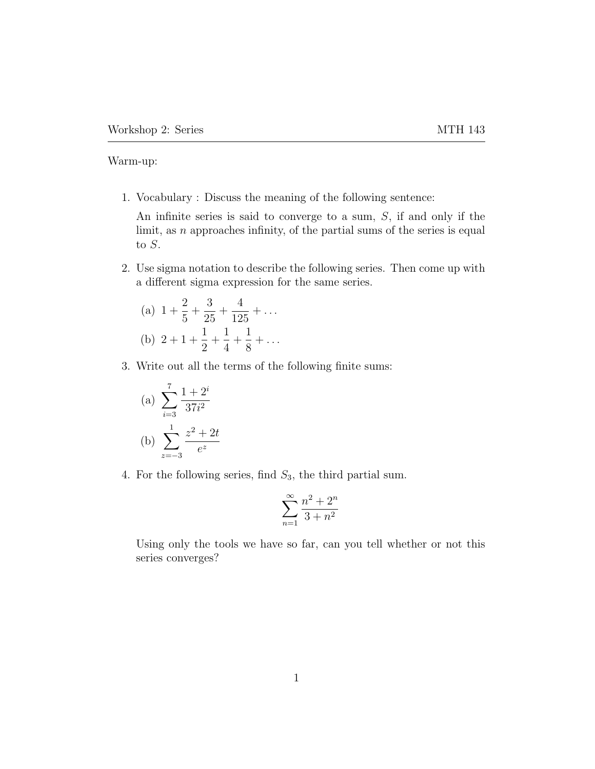Warm-up:

1. Vocabulary : Discuss the meaning of the following sentence:

An infinite series is said to converge to a sum, S, if and only if the limit, as  $n$  approaches infinity, of the partial sums of the series is equal to  $S$ .

2. Use sigma notation to describe the following series. Then come up with a different sigma expression for the same series.

(a) 
$$
1 + \frac{2}{5} + \frac{3}{25} + \frac{4}{125} + \dots
$$
  
\n(b)  $2 + 1 + \frac{1}{2} + \frac{1}{4} + \frac{1}{8} + \dots$ 

3. Write out all the terms of the following finite sums:

(a) 
$$
\sum_{i=3}^{7} \frac{1+2^{i}}{37i^{2}}
$$
  
(b) 
$$
\sum_{z=-3}^{1} \frac{z^{2} + 2t}{e^{z}}
$$

4. For the following series, find  $S_3$ , the third partial sum.

$$
\sum_{n=1}^{\infty} \frac{n^2 + 2^n}{3 + n^2}
$$

Using only the tools we have so far, can you tell whether or not this series converges?